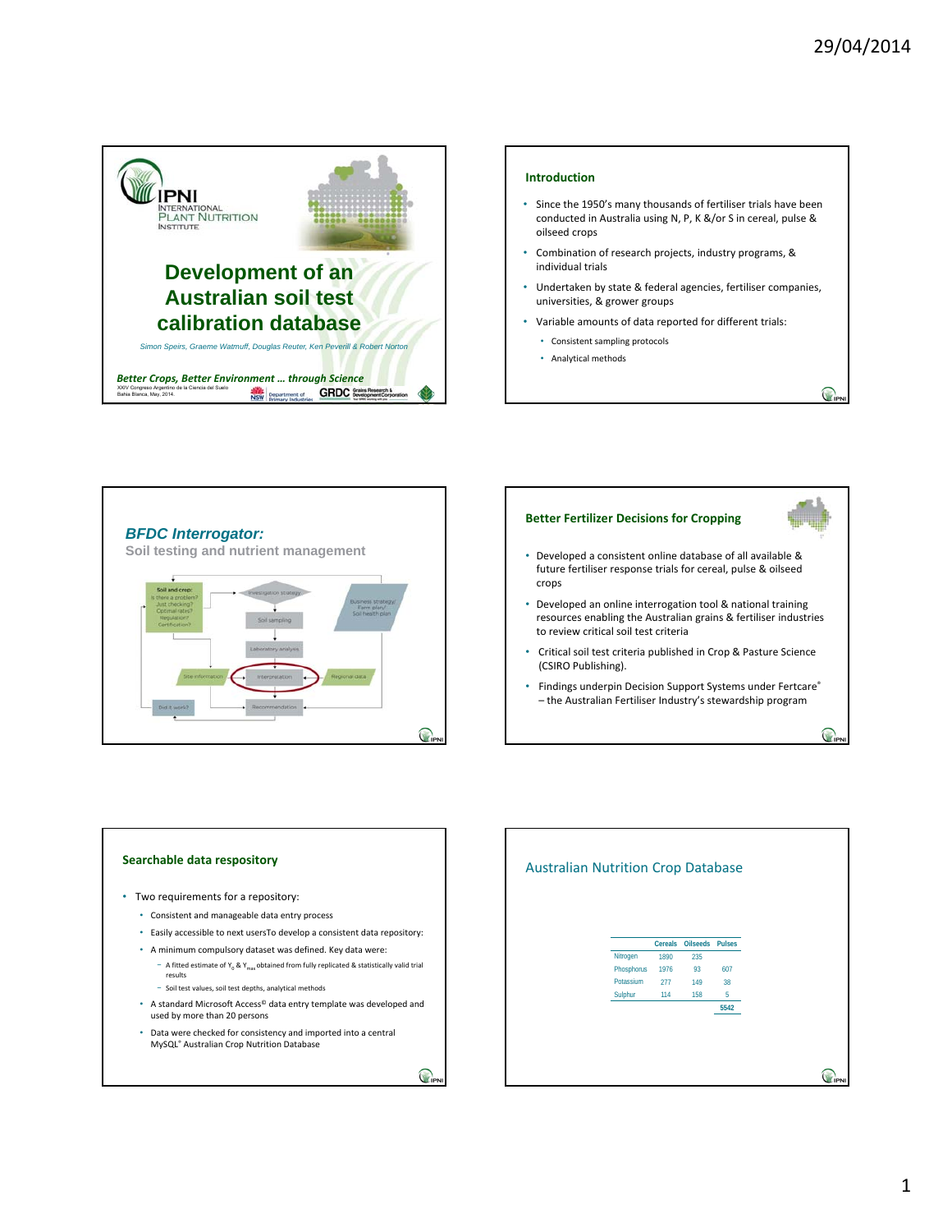

### **Introduction**

- Since the 1950's many thousands of fertiliser trials have been conducted in Australia using N, P, K &/or S in cereal, pulse & oilseed crops
- Combination of research projects, industry programs, & individual trials
- Undertaken by state & federal agencies, fertiliser companies, universities, & grower groups
- Variable amounts of data reported for different trials:
	- Consistent sampling protocols
	- Analytical methods



## **Better Fertilizer Decisions for Cropping**

 $\bigcap$ 

 $\bigcirc$ 

- Developed a consistent online database of all available & future fertiliser response trials for cereal, pulse & oilseed crops
- Developed an online interrogation tool & national training resources enabling the Australian grains & fertiliser industries to review critical soil test criteria
- Critical soil test criteria published in Crop & Pasture Science (CSIRO Publishing).
- Findings underpin Decision Support Systems under Fertcare® – the Australian Fertiliser Industry's stewardship program



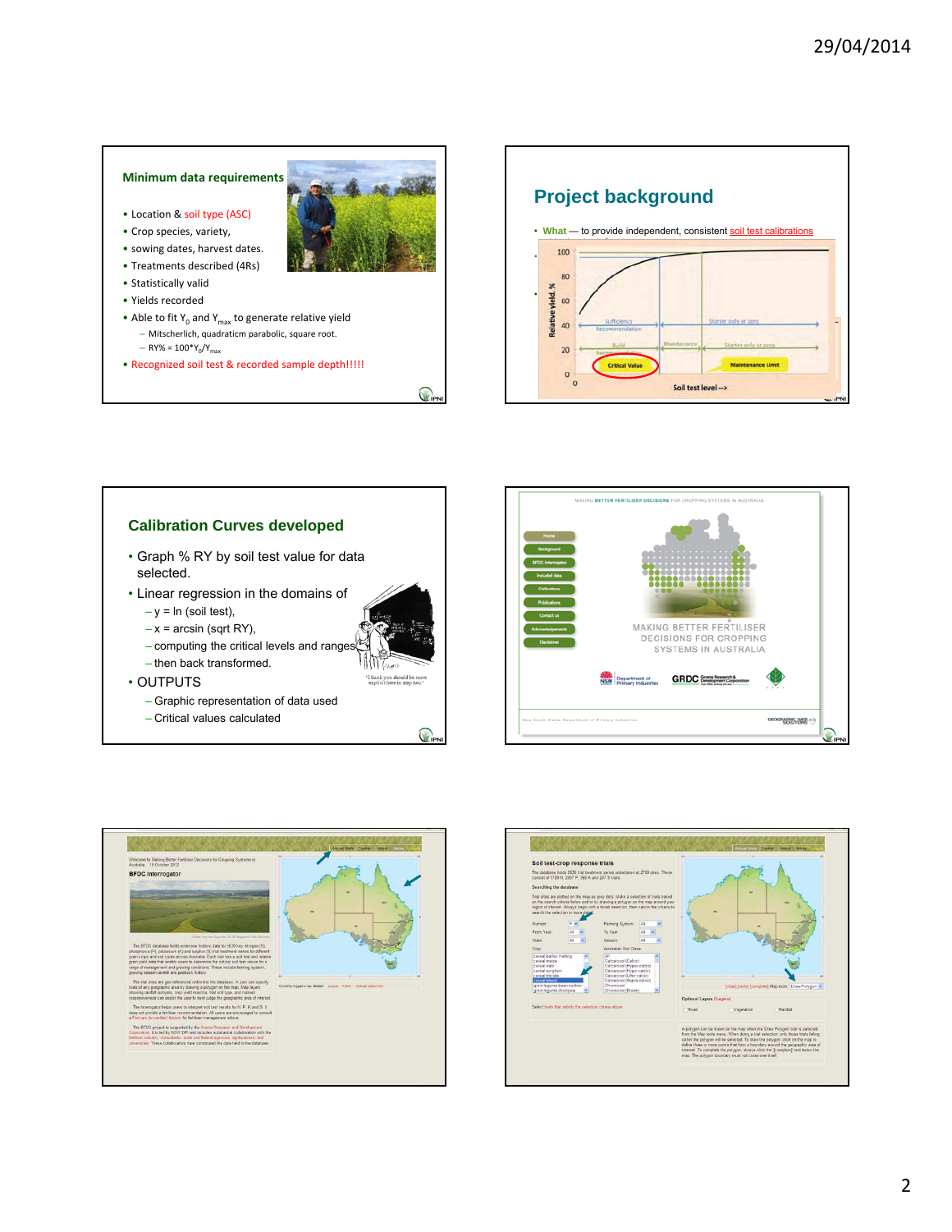### **Minimum data requirements**

- Location & soil type (ASC)
- Crop species, variety,
- sowing dates, harvest dates.
- Treatments described (4Rs)
- Statistically valid
- Yields recorded
- Able to fit  $Y_0$  and  $Y_{\text{max}}$  to generate relative yield – Mitscherlich, quadraticm parabolic, square root.
	- $-$  RY% = 100\*Y<sub>0</sub>/Y<sub>max</sub>
- Recognized soil test & recorded sample depth!!!!!

 $\bigcirc$ 

(2). d

ink you sh<br>olicit here i

C

**Project background** • What - to provide independent, consistent soil test calibrations • **Why** — ensure consistent understandings of critical levels and their modifying factors reducing confusion, increasing trust and ensuring well-informed fertiliser investments.  $\frac{d}{dx}$   $\frac{d}{dx}$   $\frac{d}{dx}$   $\frac{d}{dx}$   $\frac{d}{dx}$   $\frac{d}{dx}$   $\frac{d}{dx}$   $\frac{d}{dx}$   $\frac{d}{dx}$   $\frac{d}{dx}$   $\frac{d}{dx}$   $\frac{d}{dx}$   $\frac{d}{dx}$   $\frac{d}{dx}$   $\frac{d}{dx}$   $\frac{d}{dx}$   $\frac{d}{dx}$   $\frac{d}{dx}$   $\frac{d}{dx}$   $\frac{d}{dx}$   $\frac{d}{dx}$   $\frac{d}{dx}$   $\mathbb{R}^m$  and critical ranges to provide the provide the provide the provide the provide the provide the provide the provide the provide the provide the provide the provide the provide the provide the provide the provide **rigour that ensures reliability** and repeated repeated repeated repeated repeated repeated repeated repeated repeated repeated repeated reliability. The contract of the contract of the contract of the contract of the cont  $\overline{20}$ **Critical Valu**  $\circ$ Soil test level -->

# **Calibration Curves developed**

- Graph % RY by soil test value for data selected.
- Linear regression in the domains of  $-y = \ln$  (soil test),
	- $-x$  = arcsin (sqrt RY),
	- computing the critical levels and ranges,
	- then back transformed.
- OUTPUTS
	- Graphic representation of data used
	- Critical values calculated





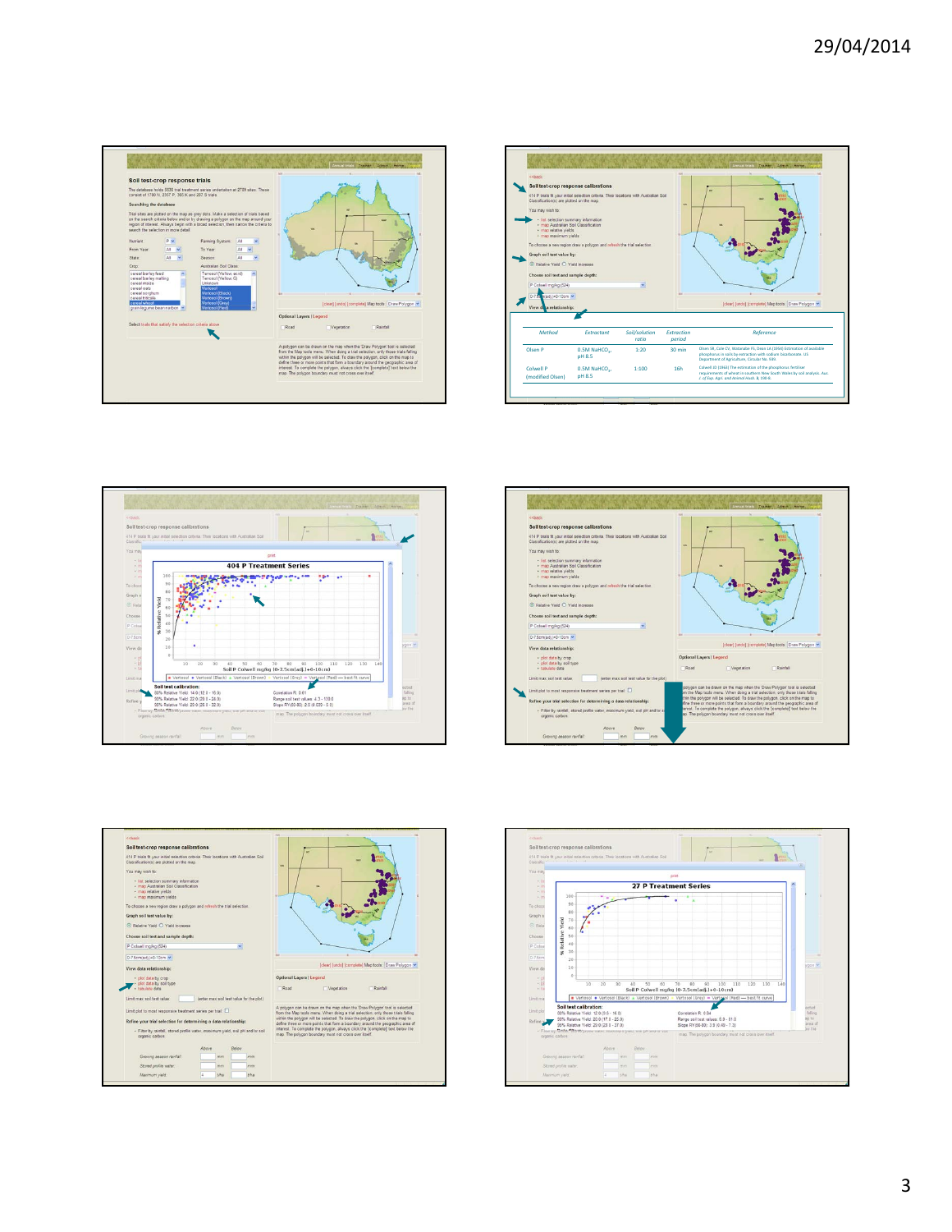